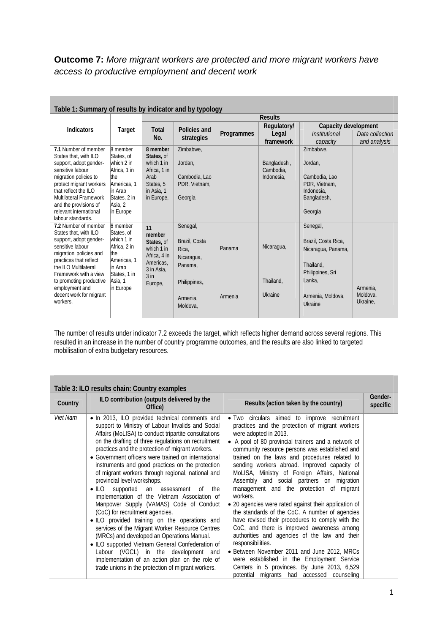## **Outcome 7:** *More migrant workers are protected and more migrant workers have access to productive employment and decent work*

| Table 1: Summary of results by indicator and by typology |                        |                         |               |            |             |                             |                 |
|----------------------------------------------------------|------------------------|-------------------------|---------------|------------|-------------|-----------------------------|-----------------|
|                                                          | Target                 | <b>Results</b>          |               |            |             |                             |                 |
| <b>Indicators</b>                                        |                        | Total<br>Policies and   |               |            | Regulatory/ | Capacity development        |                 |
|                                                          |                        | No.                     | strategies    | Programmes | Legal       | <i><b>Institutional</b></i> | Data collection |
|                                                          |                        |                         |               |            | framework   | capacity                    | and analysis    |
| 7.1 Number of member                                     | 8 member               | 8 member                | Zimbabwe,     |            |             | Zimbabwe.                   |                 |
| States that, with ILO                                    | States, of             | States, of              |               |            |             |                             |                 |
| support, adopt gender-                                   | which 2 in             | which 1 in              | Jordan,       |            | Bangladesh, | Jordan,                     |                 |
| sensitive labour                                         | Africa, 1 in           | Africa, 1 in            |               |            | Cambodia,   |                             |                 |
| migration policies to                                    | lthe                   | Arab                    | Cambodia, Lao |            | Indonesia,  | Cambodia, Lao               |                 |
| protect migrant workers<br>that reflect the ILO          | Americas, 1<br>in Arab | States, 5<br>in Asia, 1 | PDR, Vietnam, |            |             | PDR, Vietnam,<br>Indonesia. |                 |
| Multilateral Framework                                   | States, 2 in           | in Europe,              | Georgia       |            |             | Bangladesh,                 |                 |
| and the provisions of                                    | Asia, 2                |                         |               |            |             |                             |                 |
| relevant international                                   | in Europe              |                         |               |            |             | Georgia                     |                 |
| labour standards.                                        |                        |                         |               |            |             |                             |                 |
| 7.2 Number of member                                     | 6 member               | 11                      | Senegal,      |            |             | Senegal,                    |                 |
| States that, with ILO                                    | States, of             | member                  |               |            |             |                             |                 |
| support, adopt gender-                                   | which 1 in             | States, of              | Brazil, Costa |            |             | Brazil, Costa Rica,         |                 |
| sensitive labour<br>migration policies and               | Africa, 2 in<br>lthe   | which 1 in              | Rica,         | Panama     | Nicaragua,  | Nicaragua, Panama,          |                 |
| practices that reflect                                   | Americas, 1            | Africa, 4 in            | Nicaragua,    |            |             |                             |                 |
| the ILO Multilateral                                     | in Arab                | Americas.               | Panama,       |            |             | Thailand.                   |                 |
| Framework with a view                                    | States, 1 in           | 3 in Asia,<br>$3$ in    |               |            |             | Philippines, Sri            |                 |
| to promoting productive                                  | Asia, 1                | Europe,                 | Philippines,  |            | Thailand,   | Lanka,                      |                 |
| employment and                                           | in Europe              |                         |               |            |             |                             | Armenia.        |
| decent work for migrant                                  |                        |                         | Armenia,      | Armenia    | Ukraine     | Armenia, Moldova,           | Moldova,        |
| workers.                                                 |                        |                         | Moldova,      |            |             | Ukraine                     | Ukraine,        |
|                                                          |                        |                         |               |            |             |                             |                 |

**Table 1: Summary of results by indicator and by typology** 

The number of results under indicator 7.2 exceeds the target, which reflects higher demand across several regions. This resulted in an increase in the number of country programme outcomes, and the results are also linked to targeted mobilisation of extra budgetary resources.

|                 | Table 3: ILO results chain: Country examples                                                                                                                                                                                                                                                                                                                                                                                                                                                                                                                                                                                                                                                                                                                                                                                                                                                                                                                                                             |                                                                                                                                                                                                                                                                                                                                                                                                                                                                                                                                                                                                                                                                                                                                                                                                                                                                                                                                                                       |                     |
|-----------------|----------------------------------------------------------------------------------------------------------------------------------------------------------------------------------------------------------------------------------------------------------------------------------------------------------------------------------------------------------------------------------------------------------------------------------------------------------------------------------------------------------------------------------------------------------------------------------------------------------------------------------------------------------------------------------------------------------------------------------------------------------------------------------------------------------------------------------------------------------------------------------------------------------------------------------------------------------------------------------------------------------|-----------------------------------------------------------------------------------------------------------------------------------------------------------------------------------------------------------------------------------------------------------------------------------------------------------------------------------------------------------------------------------------------------------------------------------------------------------------------------------------------------------------------------------------------------------------------------------------------------------------------------------------------------------------------------------------------------------------------------------------------------------------------------------------------------------------------------------------------------------------------------------------------------------------------------------------------------------------------|---------------------|
| Country         | ILO contribution (outputs delivered by the<br>Office)                                                                                                                                                                                                                                                                                                                                                                                                                                                                                                                                                                                                                                                                                                                                                                                                                                                                                                                                                    | Results (action taken by the country)                                                                                                                                                                                                                                                                                                                                                                                                                                                                                                                                                                                                                                                                                                                                                                                                                                                                                                                                 | Gender-<br>specific |
| <i>Viet Nam</i> | • In 2013, ILO provided technical comments and<br>support to Ministry of Labour Invalids and Social<br>Affairs (MoLISA) to conduct tripartite consultations<br>on the drafting of three regulations on recruitment<br>practices and the protection of migrant workers.<br>• Government officers were trained on international<br>instruments and good practices on the protection<br>of migrant workers through regional, national and<br>provincial level workshops.<br>• ILO supported an assessment<br>the<br>0f<br>implementation of the Vietnam Association of<br>Manpower Supply (VAMAS) Code of Conduct<br>(CoC) for recruitment agencies.<br>. ILO provided training on the operations and<br>services of the Migrant Worker Resource Centres<br>(MRCs) and developed an Operations Manual.<br>• ILO supported Vietnam General Confederation of<br>Labour (VGCL) in the development and<br>implementation of an action plan on the role of<br>trade unions in the protection of migrant workers. | • Two circulars aimed to improve recruitment<br>practices and the protection of migrant workers<br>were adopted in 2013.<br>• A pool of 80 provincial trainers and a network of<br>community resource persons was established and<br>trained on the laws and procedures related to<br>sending workers abroad. Improved capacity of<br>MoLISA, Ministry of Foreign Affairs, National<br>Assembly and social partners on migration<br>management and the protection of migrant<br>workers.<br>• 20 agencies were rated against their application of<br>the standards of the CoC. A number of agencies<br>have revised their procedures to comply with the<br>CoC, and there is improved awareness among<br>authorities and agencies of the law and their<br>responsibilities.<br>• Between November 2011 and June 2012, MRCs<br>were established in the Employment Service<br>Centers in 5 provinces. By June 2013, 6,529<br>potential migrants had accessed counseling |                     |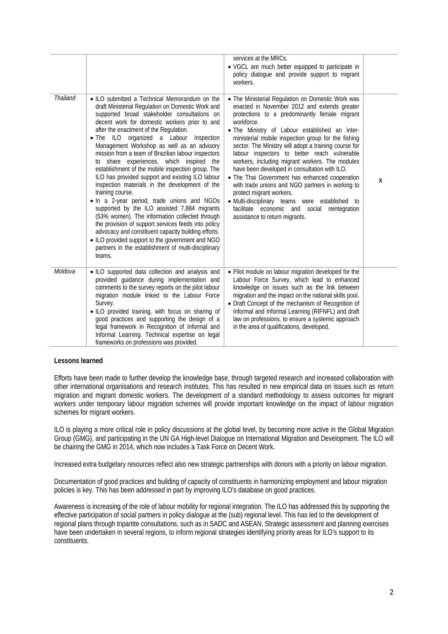|                 |                                                                                                                                                                                                                                                                                                                                                                                                                                                                                                                                                                                                                                                                                                                                                                                                                                                                                                                                                                                                                | services at the MRCs.<br>• VGCL are much better equipped to participate in<br>policy dialogue and provide support to migrant<br>workers.                                                                                                                                                                                                                                                                                                                                                                                                                                                                                                                                                                                                                     |   |
|-----------------|----------------------------------------------------------------------------------------------------------------------------------------------------------------------------------------------------------------------------------------------------------------------------------------------------------------------------------------------------------------------------------------------------------------------------------------------------------------------------------------------------------------------------------------------------------------------------------------------------------------------------------------------------------------------------------------------------------------------------------------------------------------------------------------------------------------------------------------------------------------------------------------------------------------------------------------------------------------------------------------------------------------|--------------------------------------------------------------------------------------------------------------------------------------------------------------------------------------------------------------------------------------------------------------------------------------------------------------------------------------------------------------------------------------------------------------------------------------------------------------------------------------------------------------------------------------------------------------------------------------------------------------------------------------------------------------------------------------------------------------------------------------------------------------|---|
| <b>Thailand</b> | • ILO submitted a Technical Memorandum on the<br>draft Ministerial Regulation on Domestic Work and<br>supported broad stakeholder consultations on<br>decent work for domestic workers prior to and<br>after the enactment of the Regulation.<br>. The ILO organized a Labour<br>Inspection<br>Management Workshop as well as an advisory<br>mission from a team of Brazilian labour inspectors<br>to share experiences, which inspired the<br>establishment of the mobile inspection group. The<br>ILO has provided support and existing ILO labour<br>inspection materials in the development of the<br>training course.<br>. In a 2-year period, trade unions and NGOs<br>supported by the ILO assisted 7,884 migrants<br>(53% women). The information collected through<br>the provision of support services feeds into policy<br>advocacy and constituent capacity building efforts.<br>• ILO provided support to the government and NGO<br>partners in the establishment of multi-disciplinary<br>teams. | • The Ministerial Regulation on Domestic Work was<br>enacted in November 2012 and extends greater<br>protections to a predominantly female migrant<br>workforce.<br>. The Ministry of Labour established an inter-<br>ministerial mobile inspection group for the fishing<br>sector. The Ministry will adopt a training course for<br>labour inspectors to better reach vulnerable<br>workers, including migrant workers. The modules<br>have been developed in consultation with ILO.<br>• The Thai Government has enhanced cooperation<br>with trade unions and NGO partners in working to<br>protect migrant workers.<br>· Multi-disciplinary teams were established to<br>facilitate economic and social reintegration<br>assistance to return migrants. | X |
| Moldova         | . ILO supported data collection and analysis and<br>provided guidance during implementation and<br>comments to the survey reports on the pilot labour<br>migration module linked to the Labour Force<br>Survey.<br>. ILO provided training, with focus on sharing of<br>good practices and supporting the design of a<br>legal framework in Recognition of Informal and<br>Informal Learning. Technical expertise on legal<br>frameworks on professions was provided.                                                                                                                                                                                                                                                                                                                                                                                                                                                                                                                                          | . Pilot module on labour migration developed for the<br>Labour Force Survey, which lead to enhanced<br>knowledge on issues such as the link between<br>migration and the impact on the national skills pool.<br>• Draft Concept of the mechanism of Recognition of<br>Informal and Informal Learning (RIFNFL) and draft<br>law on professions, to ensure a systemic approach<br>in the area of qualifications, developed.                                                                                                                                                                                                                                                                                                                                    |   |

## **Lessons learned**

Efforts have been made to further develop the knowledge base, through targeted research and increased collaboration with other international organisations and research institutes. This has resulted in new empirical data on issues such as return migration and migrant domestic workers. The development of a standard methodology to assess outcomes for migrant workers under temporary labour migration schemes will provide important knowledge on the impact of labour migration schemes for migrant workers.

ILO is playing a more critical role in policy discussions at the global level, by becoming more active in the Global Migration Group (GMG), and participating in the UN GA High-level Dialogue on International Migration and Development. The ILO will be chairing the GMG in 2014, which now includes a Task Force on Decent Work.

Increased extra budgetary resources reflect also new strategic partnerships with donors with a priority on labour migration.

Documentation of good practices and building of capacity of constituents in harmonizing employment and labour migration policies is key. This has been addressed in part by improving ILO's database on good practices.

Awareness is increasing of the role of labour mobility for regional integration. The ILO has addressed this by supporting the effective participation of social partners in policy dialogue at the (sub) regional level. This has led to the development of regional plans through tripartite consultations, such as in SADC and ASEAN. Strategic assessment and planning exercises have been undertaken in several regions, to inform regional strategies identifying priority areas for ILO's support to its constituents.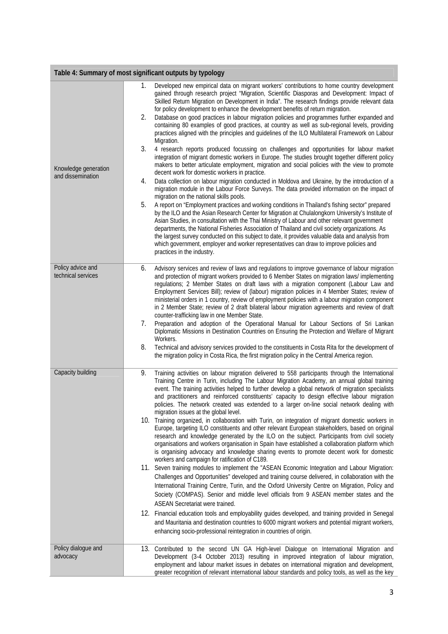| Table 4: Summary of most significant outputs by typology |                                                                                                                                                                                                                                                                                                                                                                                                                                                                                                                                                                                                                                                                                                                                                                                                                                                                                                                                                                                                                                                                                                                                                                                                                                                                                                                                                                                                                                                                                                                                                                                                                                                                                                                                                                                                                                                                                                                                           |  |  |
|----------------------------------------------------------|-------------------------------------------------------------------------------------------------------------------------------------------------------------------------------------------------------------------------------------------------------------------------------------------------------------------------------------------------------------------------------------------------------------------------------------------------------------------------------------------------------------------------------------------------------------------------------------------------------------------------------------------------------------------------------------------------------------------------------------------------------------------------------------------------------------------------------------------------------------------------------------------------------------------------------------------------------------------------------------------------------------------------------------------------------------------------------------------------------------------------------------------------------------------------------------------------------------------------------------------------------------------------------------------------------------------------------------------------------------------------------------------------------------------------------------------------------------------------------------------------------------------------------------------------------------------------------------------------------------------------------------------------------------------------------------------------------------------------------------------------------------------------------------------------------------------------------------------------------------------------------------------------------------------------------------------|--|--|
| Knowledge generation<br>and dissemination                | Developed new empirical data on migrant workers' contributions to home country development<br>1.<br>gained through research project "Migration, Scientific Diasporas and Development: Impact of<br>Skilled Return Migration on Development in India". The research findings provide relevant data<br>for policy development to enhance the development benefits of return migration.<br>2.<br>Database on good practices in labour migration policies and programmes further expanded and<br>containing 80 examples of good practices, at country as well as sub-regional levels, providing<br>practices aligned with the principles and guidelines of the ILO Multilateral Framework on Labour<br>Migration.<br>3.<br>4 research reports produced focussing on challenges and opportunities for labour market<br>integration of migrant domestic workers in Europe. The studies brought together different policy<br>makers to better articulate employment, migration and social policies with the view to promote<br>decent work for domestic workers in practice.<br>Data collection on labour migration conducted in Moldova and Ukraine, by the introduction of a<br>4.<br>migration module in the Labour Force Surveys. The data provided information on the impact of<br>migration on the national skills pools.<br>5.<br>A report on "Employment practices and working conditions in Thailand's fishing sector" prepared<br>by the ILO and the Asian Research Center for Migration at Chulalongkorn University's Institute of<br>Asian Studies, in consultation with the Thai Ministry of Labour and other relevant government<br>departments, the National Fisheries Association of Thailand and civil society organizations. As<br>the largest survey conducted on this subject to date, it provides valuable data and analysis from<br>which government, employer and worker representatives can draw to improve policies and |  |  |
|                                                          | practices in the industry.                                                                                                                                                                                                                                                                                                                                                                                                                                                                                                                                                                                                                                                                                                                                                                                                                                                                                                                                                                                                                                                                                                                                                                                                                                                                                                                                                                                                                                                                                                                                                                                                                                                                                                                                                                                                                                                                                                                |  |  |
| Policy advice and<br>technical services                  | Advisory services and review of laws and regulations to improve governance of labour migration<br>6.<br>and protection of migrant workers provided to 6 Member States on migration laws/ implementing<br>regulations; 2 Member States on draft laws with a migration component (Labour Law and<br>Employment Services Bill); review of (labour) migration policies in 4 Member States; review of<br>ministerial orders in 1 country, review of employment policies with a labour migration component<br>in 2 Member State; review of 2 draft bilateral labour migration agreements and review of draft<br>counter-trafficking law in one Member State.<br>Preparation and adoption of the Operational Manual for Labour Sections of Sri Lankan<br>7.<br>Diplomatic Missions in Destination Countries on Ensuring the Protection and Welfare of Migrant<br>Workers.<br>8.<br>Technical and advisory services provided to the constituents in Costa Rita for the development of<br>the migration policy in Costa Rica, the first migration policy in the Central America region.                                                                                                                                                                                                                                                                                                                                                                                                                                                                                                                                                                                                                                                                                                                                                                                                                                                            |  |  |
| Capacity building                                        | 9.<br>Training activities on labour migration delivered to 558 participants through the International<br>Training Centre in Turin, including The Labour Migration Academy, an annual global training<br>event. The training activities helped to further develop a global network of migration specialists<br>and practitioners and reinforced constituents' capacity to design effective labour migration<br>policies. The network created was extended to a larger on-line social network dealing with<br>migration issues at the global level.<br>10. Training organized, in collaboration with Turin, on integration of migrant domestic workers in<br>Europe, targeting ILO constituents and other relevant European stakeholders, based on original<br>research and knowledge generated by the ILO on the subject. Participants from civil society<br>organisations and workers organisation in Spain have established a collaboration platform which<br>is organising advocacy and knowledge sharing events to promote decent work for domestic<br>workers and campaign for ratification of C189.<br>11. Seven training modules to implement the "ASEAN Economic Integration and Labour Migration:<br>Challenges and Opportunities" developed and training course delivered, in collaboration with the<br>International Training Centre, Turin, and the Oxford University Centre on Migration, Policy and<br>Society (COMPAS). Senior and middle level officials from 9 ASEAN member states and the<br>ASEAN Secretariat were trained.<br>12. Financial education tools and employability guides developed, and training provided in Senegal<br>and Mauritania and destination countries to 6000 migrant workers and potential migrant workers,<br>enhancing socio-professional reintegration in countries of origin.                                                                                                              |  |  |
| Policy dialogue and<br>advocacy                          | 13. Contributed to the second UN GA High-level Dialogue on International Migration and<br>Development (3-4 October 2013) resulting in improved integration of labour migration,<br>employment and labour market issues in debates on international migration and development,<br>greater recognition of relevant international labour standards and policy tools, as well as the key                                                                                                                                                                                                                                                                                                                                                                                                                                                                                                                                                                                                                                                                                                                                                                                                                                                                                                                                                                                                                                                                                                                                                                                                                                                                                                                                                                                                                                                                                                                                                      |  |  |

l,